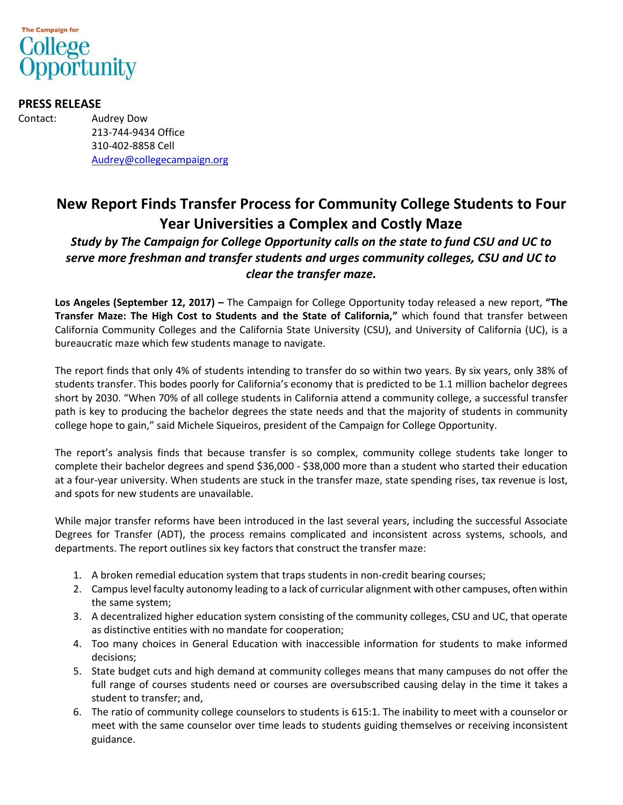

## **PRESS RELEASE**

Contact: Audrey Dow 213-744-9434 Office 310-402-8858 Cell [Audrey@collegecampaign.org](mailto:Audrey@collegecampaign.org)

## **New Report Finds Transfer Process for Community College Students to Four Year Universities a Complex and Costly Maze**

*Study by The Campaign for College Opportunity calls on the state to fund CSU and UC to serve more freshman and transfer students and urges community colleges, CSU and UC to clear the transfer maze.*

**Los Angeles (September 12, 2017) –** The Campaign for College Opportunity today released a new report, **"The Transfer Maze: The High Cost to Students and the State of California,"** which found that transfer between California Community Colleges and the California State University (CSU), and University of California (UC), is a bureaucratic maze which few students manage to navigate.

The report finds that only 4% of students intending to transfer do so within two years. By six years, only 38% of students transfer. This bodes poorly for California's economy that is predicted to be 1.1 million bachelor degrees short by 2030. "When 70% of all college students in California attend a community college, a successful transfer path is key to producing the bachelor degrees the state needs and that the majority of students in community college hope to gain," said Michele Siqueiros, president of the Campaign for College Opportunity.

The report's analysis finds that because transfer is so complex, community college students take longer to complete their bachelor degrees and spend \$36,000 - \$38,000 more than a student who started their education at a four-year university. When students are stuck in the transfer maze, state spending rises, tax revenue is lost, and spots for new students are unavailable.

While major transfer reforms have been introduced in the last several years, including the successful Associate Degrees for Transfer (ADT), the process remains complicated and inconsistent across systems, schools, and departments. The report outlines six key factors that construct the transfer maze:

- 1. A broken remedial education system that traps students in non-credit bearing courses;
- 2. Campus level faculty autonomy leading to a lack of curricular alignment with other campuses, often within the same system;
- 3. A decentralized higher education system consisting of the community colleges, CSU and UC, that operate as distinctive entities with no mandate for cooperation;
- 4. Too many choices in General Education with inaccessible information for students to make informed decisions;
- 5. State budget cuts and high demand at community colleges means that many campuses do not offer the full range of courses students need or courses are oversubscribed causing delay in the time it takes a student to transfer; and,
- 6. The ratio of community college counselors to students is 615:1. The inability to meet with a counselor or meet with the same counselor over time leads to students guiding themselves or receiving inconsistent guidance.